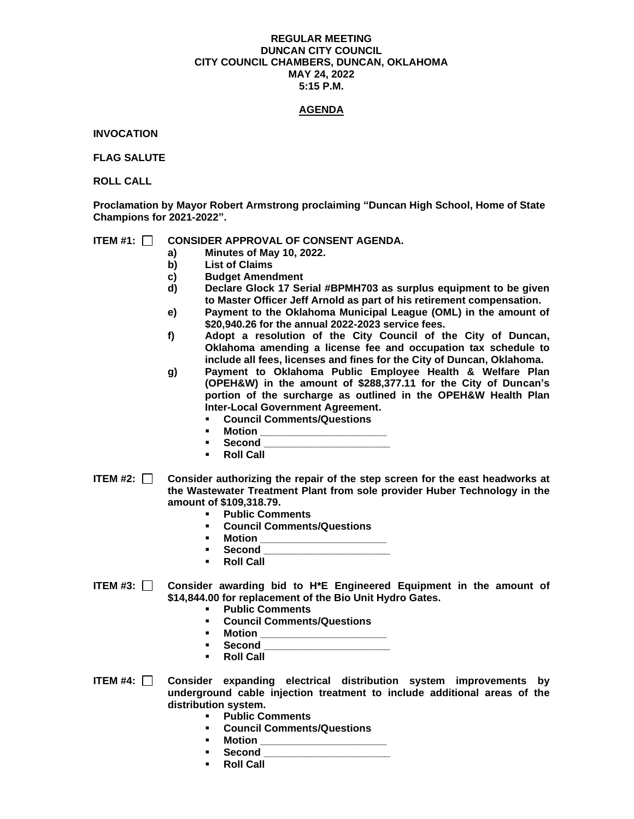### **REGULAR MEETING DUNCAN CITY COUNCIL CITY COUNCIL CHAMBERS, DUNCAN, OKLAHOMA MAY 24, 2022 5:15 P.M.**

# **AGENDA**

**INVOCATION**

**FLAG SALUTE**

**ROLL CALL**

**Proclamation by Mayor Robert Armstrong proclaiming "Duncan High School, Home of State Champions for 2021-2022".**

## **ITEM #1: CONSIDER APPROVAL OF CONSENT AGENDA.**

- **a) Minutes of May 10, 2022.**
- **b) List of Claims**
- **c) Budget Amendment**
- **d) Declare Glock 17 Serial #BPMH703 as surplus equipment to be given to Master Officer Jeff Arnold as part of his retirement compensation.**
- **e) Payment to the Oklahoma Municipal League (OML) in the amount of \$20,940.26 for the annual 2022-2023 service fees.**
- **f) Adopt a resolution of the City Council of the City of Duncan, Oklahoma amending a license fee and occupation tax schedule to include all fees, licenses and fines for the City of Duncan, Oklahoma.**
- **g) Payment to Oklahoma Public Employee Health & Welfare Plan (OPEH&W) in the amount of \$288,377.11 for the City of Duncan's portion of the surcharge as outlined in the OPEH&W Health Plan Inter-Local Government Agreement.**
	- **Council Comments/Questions**
	- **Motion** \_\_
	- **Second \_\_\_\_\_\_\_\_\_\_\_\_\_\_\_\_\_\_\_\_\_\_**
	- **Roll Call**
- **ITEM #2: Consider authorizing the repair of the step screen for the east headworks at the Wastewater Treatment Plant from sole provider Huber Technology in the amount of \$109,318.79.**
	- **Public Comments**
	- **Council Comments/Questions**
	- **Motion \_\_\_\_\_\_\_\_\_\_\_\_\_\_\_\_\_\_\_\_\_\_**
	- **Second \_\_\_\_\_\_\_\_\_\_\_\_\_\_\_\_\_\_\_\_\_\_**
	- **Roll Call**
- **ITEM #3: Consider awarding bid to H\*E Engineered Equipment in the amount of \$14,844.00 for replacement of the Bio Unit Hydro Gates.** 
	- **Public Comments**
	- **Council Comments/Questions**
	- **Motion \_\_\_\_\_\_\_\_\_\_\_\_\_\_\_\_\_\_\_\_\_\_**
	- Second
	- **Roll Call**
- **ITEM #4: Consider expanding electrical distribution system improvements by underground cable injection treatment to include additional areas of the distribution system.** 
	- **Public Comments**
	- **Council Comments/Questions**
	- **Motion \_\_\_\_\_\_\_\_\_\_\_\_\_\_\_\_\_\_\_\_\_\_**
	- **Second \_\_\_\_\_\_\_\_\_\_\_\_\_\_\_\_\_\_\_\_\_\_**
	- **Roll Call**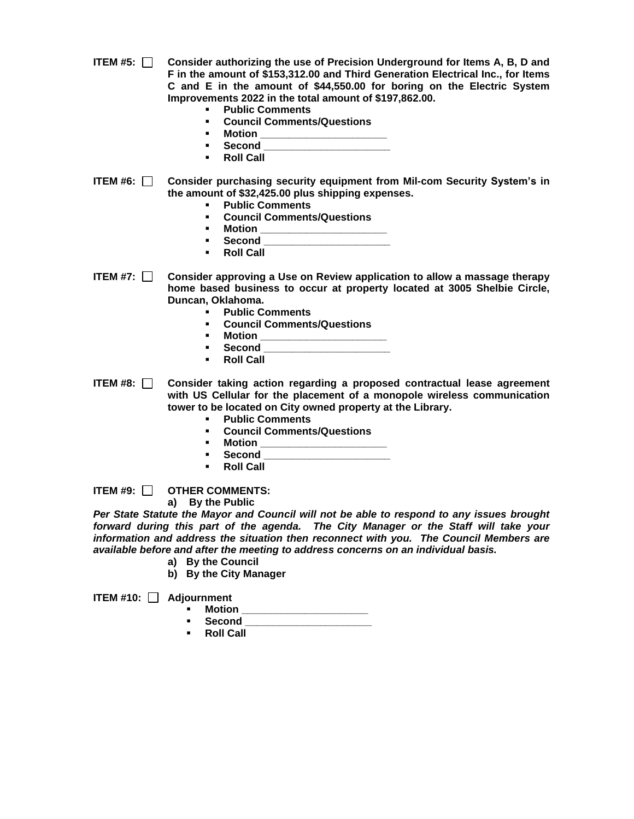- **ITEM #5: Consider authorizing the use of Precision Underground for Items A, B, D and F in the amount of \$153,312.00 and Third Generation Electrical Inc., for Items C and E in the amount of \$44,550.00 for boring on the Electric System Improvements 2022 in the total amount of \$197,862.00.**
	- **Public Comments**
	- **Council Comments/Questions**
	- **Motion \_\_\_\_\_\_\_\_\_\_\_\_\_\_\_\_\_\_\_\_\_\_**
	- **Second \_\_\_\_\_\_\_\_\_\_\_\_\_\_\_\_\_\_\_\_\_\_**
	- **Roll Call**
- **ITEM #6: Consider purchasing security equipment from Mil-com Security System's in the amount of \$32,425.00 plus shipping expenses.** 
	- **Public Comments**
	- **Council Comments/Questions**
	- **Motion \_\_\_\_\_\_\_\_\_\_\_\_\_\_\_\_\_\_\_\_\_\_**
	- **Second \_\_\_\_\_\_\_\_\_\_\_\_\_\_\_\_\_\_\_\_\_\_**
	- **Roll Call**

**ITEM #7: Consider approving a Use on Review application to allow a massage therapy home based business to occur at property located at 3005 Shelbie Circle, Duncan, Oklahoma.** 

- **Public Comments**
- **Council Comments/Questions**
- **Motion \_\_\_\_\_\_\_\_\_\_\_\_\_\_\_\_\_\_\_\_\_\_**
- **Second \_\_\_\_\_\_\_\_\_\_\_\_\_\_\_\_\_\_\_\_\_\_**
- **Roll Call**
- **ITEM #8: Consider taking action regarding a proposed contractual lease agreement with US Cellular for the placement of a monopole wireless communication tower to be located on City owned property at the Library.** 
	- **Public Comments**
	- **Council Comments/Questions**
	- **Motion \_\_\_\_\_\_\_\_\_\_\_\_\_\_\_\_\_\_\_\_\_\_**
	- **Second \_\_\_\_\_\_\_\_\_\_\_\_\_\_\_\_\_\_\_\_\_\_**
	- **Roll Call**

**ITEM #9: OTHER COMMENTS:**

**a) By the Public**

*Per State Statute the Mayor and Council will not be able to respond to any issues brought forward during this part of the agenda. The City Manager or the Staff will take your information and address the situation then reconnect with you. The Council Members are available before and after the meeting to address concerns on an individual basis.*

- **a) By the Council**
- **b) By the City Manager**

**ITEM #10: Adjournment**

- **Motion \_\_\_\_\_\_\_\_\_\_\_\_\_\_\_\_\_\_\_\_\_\_**
	- **Second \_\_\_\_\_\_\_\_\_\_\_\_\_\_\_\_\_\_\_\_\_\_**
	- **Roll Call**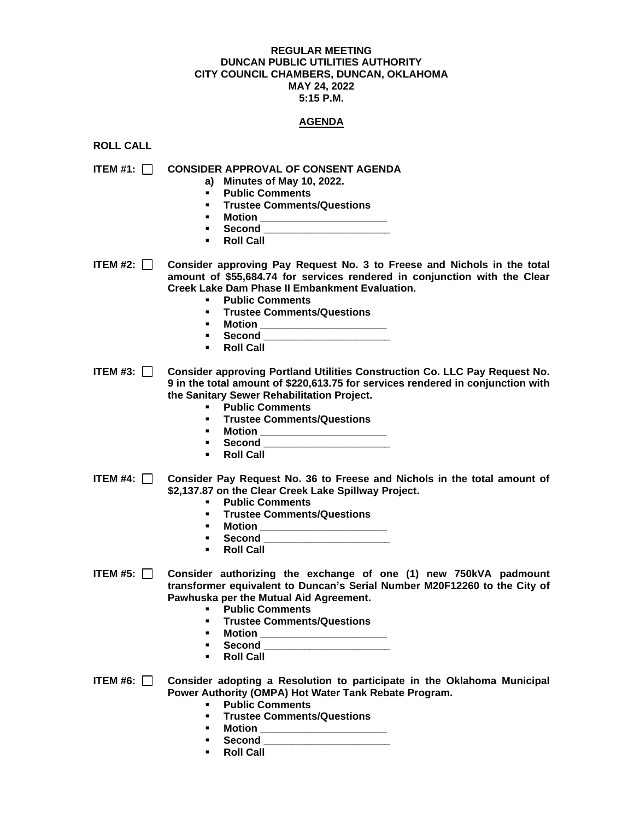#### **REGULAR MEETING DUNCAN PUBLIC UTILITIES AUTHORITY CITY COUNCIL CHAMBERS, DUNCAN, OKLAHOMA MAY 24, 2022 5:15 P.M.**

## **AGENDA**

**ROLL CALL**

**ITEM #1: CONSIDER APPROVAL OF CONSENT AGENDA**

- **a) Minutes of May 10, 2022.**
- **Public Comments**
- **Trustee Comments/Questions**
- **Motion \_\_\_\_\_\_\_\_\_\_\_\_\_\_\_\_\_\_\_\_\_\_**
- **Second \_\_\_\_\_\_\_\_\_\_\_\_\_\_\_\_\_\_\_\_\_\_**
- **Roll Call**

**ITEM #2: Consider approving Pay Request No. 3 to Freese and Nichols in the total amount of \$55,684.74 for services rendered in conjunction with the Clear Creek Lake Dam Phase II Embankment Evaluation.** 

- **Public Comments**
- **Trustee Comments/Questions**
- **Motion \_\_\_\_\_\_\_\_\_\_\_\_\_\_\_\_\_\_\_\_\_\_**
- **Second \_\_\_\_\_\_\_\_\_\_\_\_\_\_\_\_\_\_\_\_\_\_**
- **Roll Call**

**ITEM #3: Consider approving Portland Utilities Construction Co. LLC Pay Request No. 9 in the total amount of \$220,613.75 for services rendered in conjunction with the Sanitary Sewer Rehabilitation Project.** 

- **Public Comments**
- **Trustee Comments/Questions**
- **Motion \_\_\_\_\_\_\_\_\_\_\_\_\_\_\_\_\_\_\_\_\_\_**
- **Second \_\_\_\_\_\_\_\_\_\_\_\_\_\_\_\_\_\_\_\_\_\_**
- **Roll Call**
- **ITEM #4: Consider Pay Request No. 36 to Freese and Nichols in the total amount of \$2,137.87 on the Clear Creek Lake Spillway Project.** 
	- **Public Comments**
	- **Trustee Comments/Questions**
	- **Motion \_\_\_\_\_\_\_\_\_\_\_\_\_\_\_\_\_\_\_\_\_\_**
	- **Second \_\_\_\_\_\_\_\_\_\_\_\_\_\_\_\_\_\_\_\_\_\_**
	- **Roll Call**
- **ITEM #5: Consider authorizing the exchange of one (1) new 750kVA padmount transformer equivalent to Duncan's Serial Number M20F12260 to the City of Pawhuska per the Mutual Aid Agreement.** 
	- **Public Comments**
	- **Trustee Comments/Questions**
	- **Motion \_\_\_\_\_\_\_\_\_\_\_\_\_\_\_\_\_\_\_\_\_\_**
	- **Second \_\_\_\_\_\_\_\_\_\_\_\_\_\_\_\_\_\_\_\_\_\_**
	- **Roll Call**

**ITEM #6: Consider adopting a Resolution to participate in the Oklahoma Municipal Power Authority (OMPA) Hot Water Tank Rebate Program.** 

- **Public Comments**
- **Trustee Comments/Questions**
- **Motion \_\_\_\_\_\_\_\_\_\_\_\_\_\_\_\_\_\_\_\_\_\_**
- **Second \_\_\_\_\_\_\_\_\_\_\_\_\_\_\_\_\_\_\_\_\_\_**
- **Roll Call**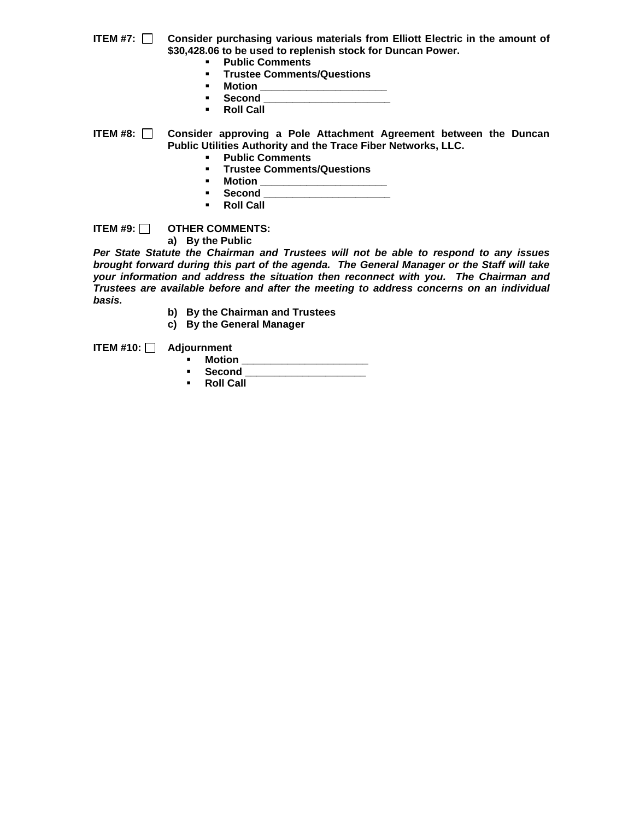**ITEM #7: Consider purchasing various materials from Elliott Electric in the amount of \$30,428.06 to be used to replenish stock for Duncan Power.** 

- **Public Comments**
- **Trustee Comments/Questions**
- **E** Motion \_
- Second
- **Roll Call**

**ITEM #8: Consider approving a Pole Attachment Agreement between the Duncan Public Utilities Authority and the Trace Fiber Networks, LLC.** 

- **Public Comments**
- **Trustee Comments/Questions**
- **Motion \_\_\_\_\_\_\_\_\_\_\_\_\_\_\_\_\_\_\_\_\_\_**
- **Second \_\_\_\_\_\_\_\_\_\_\_\_\_\_\_\_\_\_\_\_\_\_**
- **Roll Call**

**ITEM #9: OTHER COMMENTS:**

**a) By the Public**

*Per State Statute the Chairman and Trustees will not be able to respond to any issues brought forward during this part of the agenda. The General Manager or the Staff will take your information and address the situation then reconnect with you. The Chairman and Trustees are available before and after the meeting to address concerns on an individual basis.*

- **b) By the Chairman and Trustees**
- **c) By the General Manager**

**ITEM #10: Adjournment**

- **Motion \_\_\_\_\_\_\_\_\_\_\_\_\_\_\_\_\_\_\_\_\_\_**
- **Second \_\_\_\_\_\_\_\_\_\_\_\_\_\_\_\_\_\_\_\_\_**
- **Roll Call**